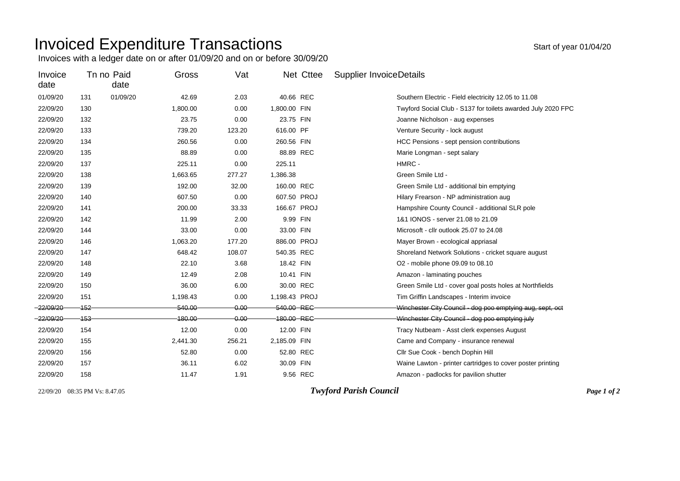## Invoiced Expenditure Transactions and the state of year 01/04/20

Invoices with a ledger date on or after 01/09/20 and on or before 30/09/20

| Invoice<br>date |         | Tn no Paid<br>date | Gross       | Vat      | Net Cttee     | <b>Supplier InvoiceDetails</b>                               |
|-----------------|---------|--------------------|-------------|----------|---------------|--------------------------------------------------------------|
| 01/09/20        | 131     | 01/09/20           | 42.69       | 2.03     | 40.66 REC     | Southern Electric - Field electricity 12.05 to 11.08         |
| 22/09/20        | 130     |                    | 1,800.00    | 0.00     | 1,800.00 FIN  | Twyford Social Club - S137 for toilets awarded July 2020 FPC |
| 22/09/20        | 132     |                    | 23.75       | 0.00     | 23.75 FIN     | Joanne Nicholson - aug expenses                              |
| 22/09/20        | 133     |                    | 739.20      | 123.20   | 616.00 PF     | Venture Security - lock august                               |
| 22/09/20        | 134     |                    | 260.56      | 0.00     | 260.56 FIN    | HCC Pensions - sept pension contributions                    |
| 22/09/20        | 135     |                    | 88.89       | 0.00     | 88.89 REC     | Marie Longman - sept salary                                  |
| 22/09/20        | 137     |                    | 225.11      | 0.00     | 225.11        | HMRC -                                                       |
| 22/09/20        | 138     |                    | 1,663.65    | 277.27   | 1,386.38      | Green Smile Ltd -                                            |
| 22/09/20        | 139     |                    | 192.00      | 32.00    | 160.00 REC    | Green Smile Ltd - additional bin emptying                    |
| 22/09/20        | 140     |                    | 607.50      | 0.00     | 607.50 PROJ   | Hilary Frearson - NP administration aug                      |
| 22/09/20        | 141     |                    | 200.00      | 33.33    | 166.67 PROJ   | Hampshire County Council - additional SLR pole               |
| 22/09/20        | 142     |                    | 11.99       | 2.00     | 9.99 FIN      | 1&1 IONOS - server 21,08 to 21,09                            |
| 22/09/20        | 144     |                    | 33.00       | 0.00     | 33.00 FIN     | Microsoft - cllr outlook 25.07 to 24.08                      |
| 22/09/20        | 146     |                    | 1,063.20    | 177.20   | 886.00 PROJ   | Mayer Brown - ecological appriasal                           |
| 22/09/20        | 147     |                    | 648.42      | 108.07   | 540.35 REC    | Shoreland Network Solutions - cricket square august          |
| 22/09/20        | 148     |                    | 22.10       | 3.68     | 18.42 FIN     | O2 - mobile phone 09.09 to 08.10                             |
| 22/09/20        | 149     |                    | 12.49       | 2.08     | 10.41 FIN     | Amazon - laminating pouches                                  |
| 22/09/20        | 150     |                    | 36.00       | 6.00     | 30.00 REC     | Green Smile Ltd - cover goal posts holes at Northfields      |
| 22/09/20        | 151     |                    | 1,198.43    | 0.00     | 1,198.43 PROJ | Tim Griffin Landscapes - Interim invoice                     |
| $-22/09/20$     | $152 -$ |                    | 540.00      | 0.00     | 540.00 REC    | Winchester City Council - dog poo emptying aug, sept, oct    |
| -22/09/20-      | $-153-$ |                    | $-180.00 -$ | $0.00 -$ | 180.00 REC-   | Winchester City Council - dog poo emptying july              |
| 22/09/20        | 154     |                    | 12.00       | 0.00     | 12.00 FIN     | Tracy Nutbeam - Asst clerk expenses August                   |
| 22/09/20        | 155     |                    | 2,441.30    | 256.21   | 2,185.09 FIN  | Came and Company - insurance renewal                         |
| 22/09/20        | 156     |                    | 52.80       | 0.00     | 52.80 REC     | Cllr Sue Cook - bench Dophin Hill                            |
| 22/09/20        | 157     |                    | 36.11       | 6.02     | 30.09 FIN     | Waine Lawton - printer cartridges to cover poster printing   |
| 22/09/20        | 158     |                    | 11.47       | 1.91     | 9.56 REC      | Amazon - padlocks for pavilion shutter                       |

22/09/20 08:35 PM Vs: 8.47.05 *Twyford Parish Council Page 1 of 2*